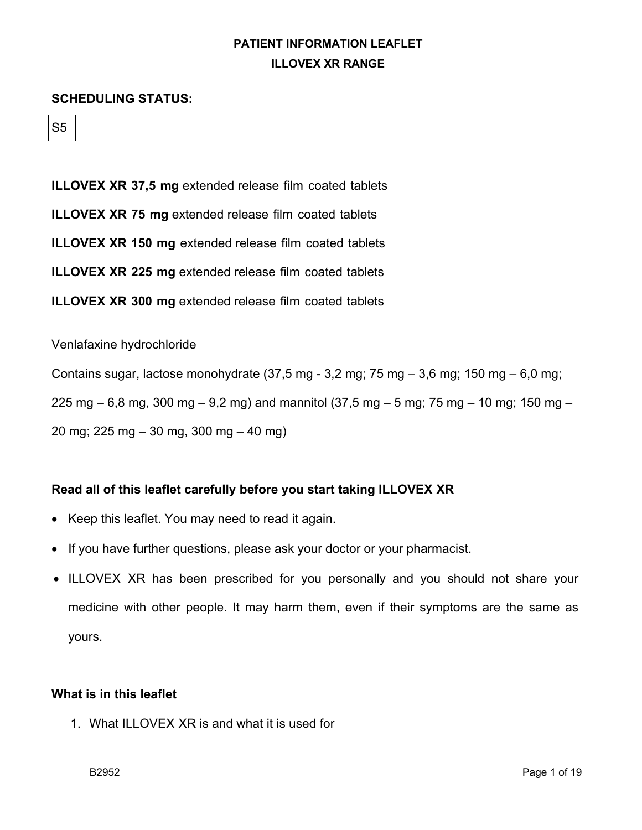#### **SCHEDULING STATUS:**

S5

**ILLOVEX XR 37,5 mg** extended release film coated tablets **ILLOVEX XR 75 mg** extended release film coated tablets **ILLOVEX XR 150 mg** extended release film coated tablets **ILLOVEX XR 225 mg** extended release film coated tablets **ILLOVEX XR 300 mg** extended release film coated tablets

Venlafaxine hydrochloride

Contains sugar, lactose monohydrate  $(37.5 \text{ mg} - 3.2 \text{ mg}; 75 \text{ mg} - 3.6 \text{ mg}; 150 \text{ mg} - 6.0 \text{ mg};$ 225 mg  $-6.8$  mg, 300 mg  $-9.2$  mg) and mannitol (37,5 mg  $-5$  mg; 75 mg  $-10$  mg; 150 mg  $-$ 

20 mg; 225 mg – 30 mg, 300 mg – 40 mg)

### **Read all of this leaflet carefully before you start taking ILLOVEX XR**

- Keep this leaflet. You may need to read it again.
- If you have further questions, please ask your doctor or your pharmacist.
- ILLOVEX XR has been prescribed for you personally and you should not share your medicine with other people. It may harm them, even if their symptoms are the same as yours.

### **What is in this leaflet**

1. What ILLOVEX XR is and what it is used for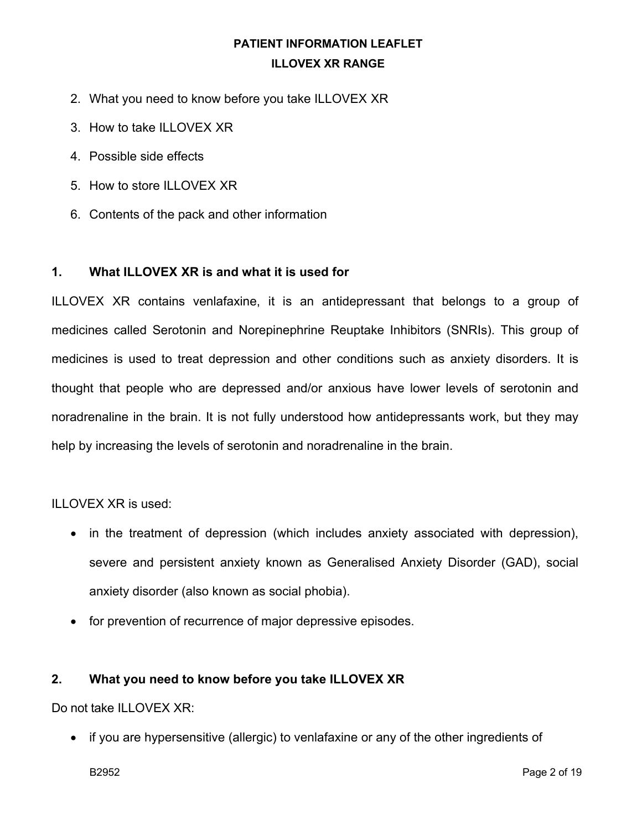- 2. What you need to know before you take ILLOVEX XR
- 3. How to take ILLOVEX XR
- 4. Possible side effects
- 5. How to store ILLOVEX XR
- 6. Contents of the pack and other information

### **1. What ILLOVEX XR is and what it is used for**

ILLOVEX XR contains venlafaxine, it is an antidepressant that belongs to a group of medicines called Serotonin and Norepinephrine Reuptake Inhibitors (SNRIs). This group of medicines is used to treat depression and other conditions such as anxiety disorders. It is thought that people who are depressed and/or anxious have lower levels of serotonin and noradrenaline in the brain. It is not fully understood how antidepressants work, but they may help by increasing the levels of serotonin and noradrenaline in the brain.

### ILLOVEX XR is used:

- in the treatment of depression (which includes anxiety associated with depression), severe and persistent anxiety known as Generalised Anxiety Disorder (GAD), social anxiety disorder (also known as social phobia).
- for prevention of recurrence of major depressive episodes.

### **2. What you need to know before you take ILLOVEX XR**

Do not take ILLOVEX XR:

• if you are hypersensitive (allergic) to venlafaxine or any of the other ingredients of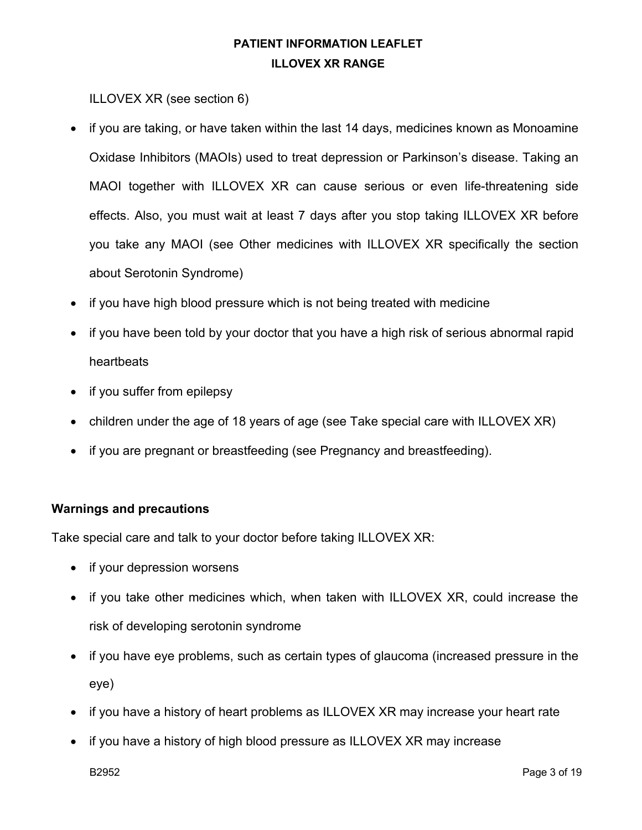ILLOVEX XR (see section 6)

- if you are taking, or have taken within the last 14 days, medicines known as Monoamine Oxidase Inhibitors (MAOIs) used to treat depression or Parkinson's disease. Taking an MAOI together with ILLOVEX XR can cause serious or even life-threatening side effects. Also, you must wait at least 7 days after you stop taking ILLOVEX XR before you take any MAOI (see Other medicines with ILLOVEX XR specifically the section about Serotonin Syndrome)
- if you have high blood pressure which is not being treated with medicine
- if you have been told by your doctor that you have a high risk of serious abnormal rapid heartbeats
- if you suffer from epilepsy
- children under the age of 18 years of age (see Take special care with ILLOVEX XR)
- if you are pregnant or breastfeeding (see Pregnancy and breastfeeding).

### **Warnings and precautions**

Take special care and talk to your doctor before taking ILLOVEX XR:

- if your depression worsens
- if you take other medicines which, when taken with ILLOVEX XR, could increase the risk of developing serotonin syndrome
- if you have eye problems, such as certain types of glaucoma (increased pressure in the eye)
- if you have a history of heart problems as ILLOVEX XR may increase your heart rate
- if you have a history of high blood pressure as ILLOVEX XR may increase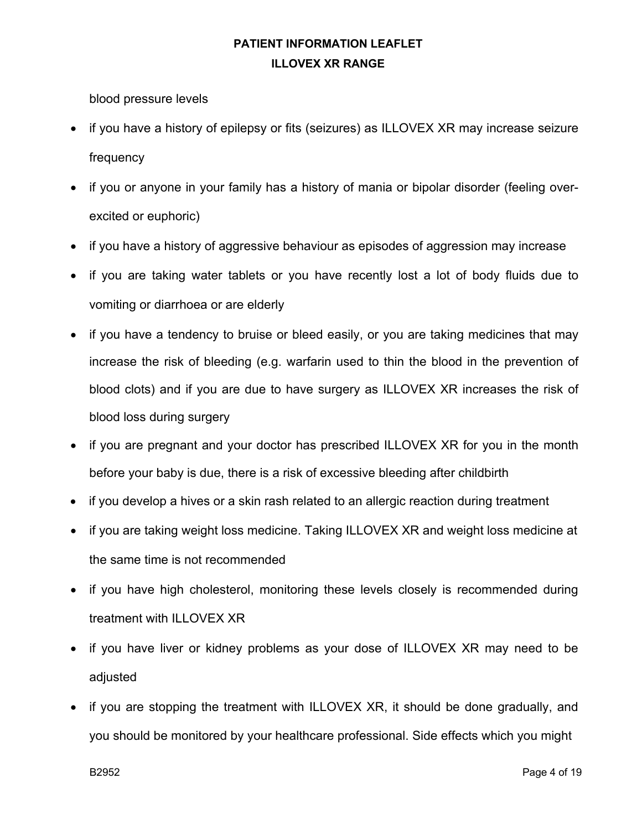blood pressure levels

- if you have a history of epilepsy or fits (seizures) as ILLOVEX XR may increase seizure frequency
- if you or anyone in your family has a history of mania or bipolar disorder (feeling overexcited or euphoric)
- if you have a history of aggressive behaviour as episodes of aggression may increase
- if you are taking water tablets or you have recently lost a lot of body fluids due to vomiting or diarrhoea or are elderly
- if you have a tendency to bruise or bleed easily, or you are taking medicines that may increase the risk of bleeding (e.g. warfarin used to thin the blood in the prevention of blood clots) and if you are due to have surgery as ILLOVEX XR increases the risk of blood loss during surgery
- if you are pregnant and your doctor has prescribed ILLOVEX XR for you in the month before your baby is due, there is a risk of excessive bleeding after childbirth
- if you develop a hives or a skin rash related to an allergic reaction during treatment
- if you are taking weight loss medicine. Taking ILLOVEX XR and weight loss medicine at the same time is not recommended
- if you have high cholesterol, monitoring these levels closely is recommended during treatment with ILLOVEX XR
- if you have liver or kidney problems as your dose of ILLOVEX XR may need to be adjusted
- if you are stopping the treatment with ILLOVEX XR, it should be done gradually, and you should be monitored by your healthcare professional. Side effects which you might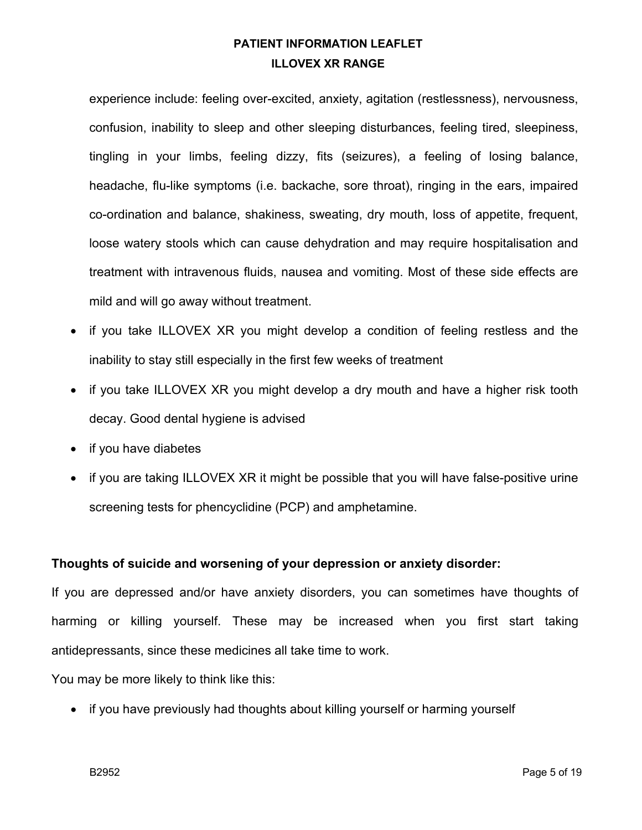experience include: feeling over-excited, anxiety, agitation (restlessness), nervousness, confusion, inability to sleep and other sleeping disturbances, feeling tired, sleepiness, tingling in your limbs, feeling dizzy, fits (seizures), a feeling of losing balance, headache, flu-like symptoms (i.e. backache, sore throat), ringing in the ears, impaired co-ordination and balance, shakiness, sweating, dry mouth, loss of appetite, frequent, loose watery stools which can cause dehydration and may require hospitalisation and treatment with intravenous fluids, nausea and vomiting. Most of these side effects are mild and will go away without treatment.

- if you take ILLOVEX XR you might develop a condition of feeling restless and the inability to stay still especially in the first few weeks of treatment
- if you take ILLOVEX XR you might develop a dry mouth and have a higher risk tooth decay. Good dental hygiene is advised
- if you have diabetes
- if you are taking ILLOVEX XR it might be possible that you will have false-positive urine screening tests for phencyclidine (PCP) and amphetamine.

### **Thoughts of suicide and worsening of your depression or anxiety disorder:**

If you are depressed and/or have anxiety disorders, you can sometimes have thoughts of harming or killing yourself. These may be increased when you first start taking antidepressants, since these medicines all take time to work.

You may be more likely to think like this:

• if you have previously had thoughts about killing yourself or harming yourself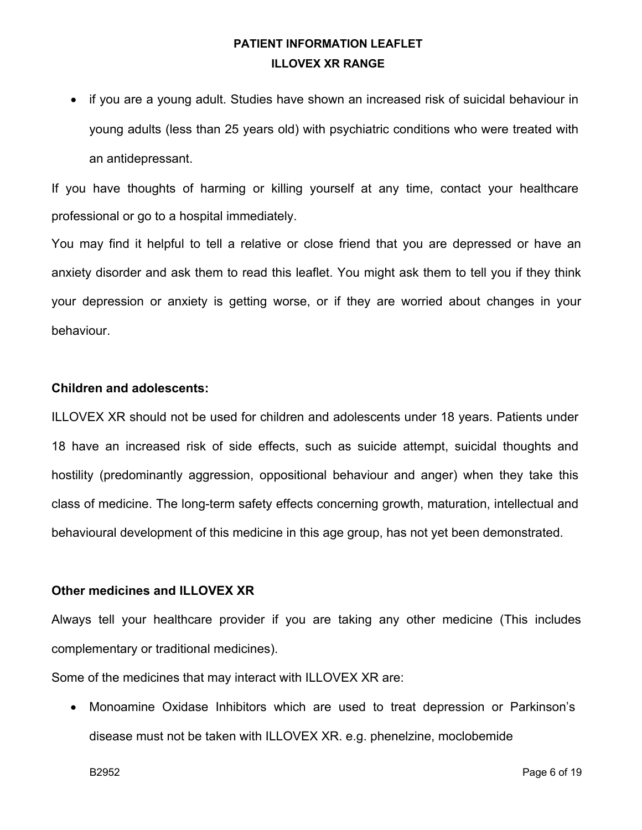• if you are a young adult. Studies have shown an increased risk of suicidal behaviour in young adults (less than 25 years old) with psychiatric conditions who were treated with an antidepressant.

If you have thoughts of harming or killing yourself at any time, contact your healthcare professional or go to a hospital immediately.

You may find it helpful to tell a relative or close friend that you are depressed or have an anxiety disorder and ask them to read this leaflet. You might ask them to tell you if they think your depression or anxiety is getting worse, or if they are worried about changes in your behaviour.

#### **Children and adolescents:**

ILLOVEX XR should not be used for children and adolescents under 18 years. Patients under 18 have an increased risk of side effects, such as suicide attempt, suicidal thoughts and hostility (predominantly aggression, oppositional behaviour and anger) when they take this class of medicine. The long-term safety effects concerning growth, maturation, intellectual and behavioural development of this medicine in this age group, has not yet been demonstrated.

#### **Other medicines and ILLOVEX XR**

Always tell your healthcare provider if you are taking any other medicine (This includes complementary or traditional medicines).

Some of the medicines that may interact with ILLOVEX XR are:

• Monoamine Oxidase Inhibitors which are used to treat depression or Parkinson's disease must not be taken with ILLOVEX XR. e.g. phenelzine, moclobemide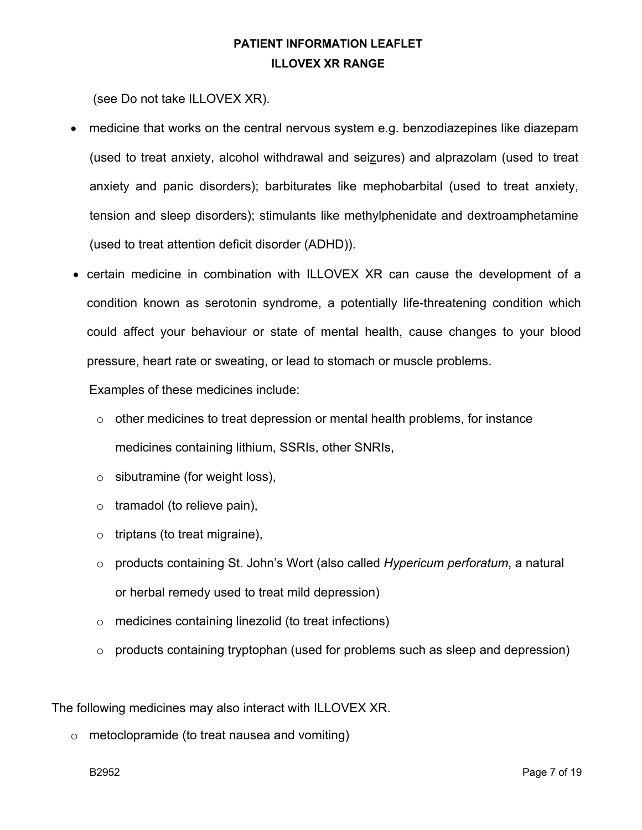(see Do not take ILLOVEX XR).

- medicine that works on the central nervous system e.g. benzodiazepines like diazepam (used to treat anxiety, alcohol withdrawal and seizures) and alprazolam (used to treat anxiety and panic disorders); barbiturates like mephobarbital (used to treat anxiety, tension and sleep disorders); stimulants like methylphenidate and dextroamphetamine (used to treat attention deficit disorder (ADHD)).
- certain medicine in combination with ILLOVEX XR can cause the development of a condition known as serotonin syndrome, a potentially life-threatening condition which could affect your behaviour or state of mental health, cause changes to your blood pressure, heart rate or sweating, or lead to stomach or muscle problems.

Examples of these medicines include:

- o other medicines to treat depression or mental health problems, for instance medicines containing lithium, SSRIs, other SNRIs,
- $\circ$  sibutramine (for weight loss),
- $\circ$  tramadol (to relieve pain),
- $\circ$  triptans (to treat migraine),
- o products containing St. John's Wort (also called *Hypericum perforatum*, a natural or herbal remedy used to treat mild depression)
- o medicines containing linezolid (to treat infections)
- $\circ$  products containing tryptophan (used for problems such as sleep and depression)

The following medicines may also interact with ILLOVEX XR.

o metoclopramide (to treat nausea and vomiting)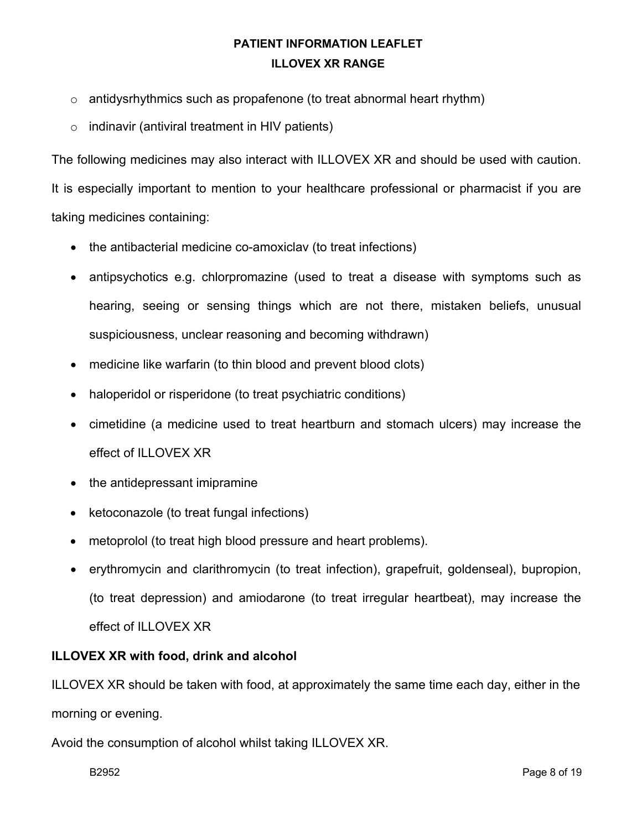- $\circ$  antidysrhythmics such as propafenone (to treat abnormal heart rhythm)
- $\circ$  indinavir (antiviral treatment in HIV patients)

The following medicines may also interact with ILLOVEX XR and should be used with caution.

It is especially important to mention to your healthcare professional or pharmacist if you are taking medicines containing:

- the antibacterial medicine co-amoxiclav (to treat infections)
- antipsychotics e.g. chlorpromazine (used to treat a disease with symptoms such as hearing, seeing or sensing things which are not there, mistaken beliefs, unusual suspiciousness, unclear reasoning and becoming withdrawn)
- medicine like warfarin (to thin blood and prevent blood clots)
- haloperidol or risperidone (to treat psychiatric conditions)
- cimetidine (a medicine used to treat heartburn and stomach ulcers) may increase the effect of ILLOVEX XR
- the antidepressant imipramine
- ketoconazole (to treat fungal infections)
- metoprolol (to treat high blood pressure and heart problems).
- erythromycin and clarithromycin (to treat infection), grapefruit, goldenseal), bupropion, (to treat depression) and amiodarone (to treat irregular heartbeat), may increase the effect of ILLOVEX XR

### **ILLOVEX XR with food, drink and alcohol**

ILLOVEX XR should be taken with food, at approximately the same time each day, either in the morning or evening.

Avoid the consumption of alcohol whilst taking ILLOVEX XR.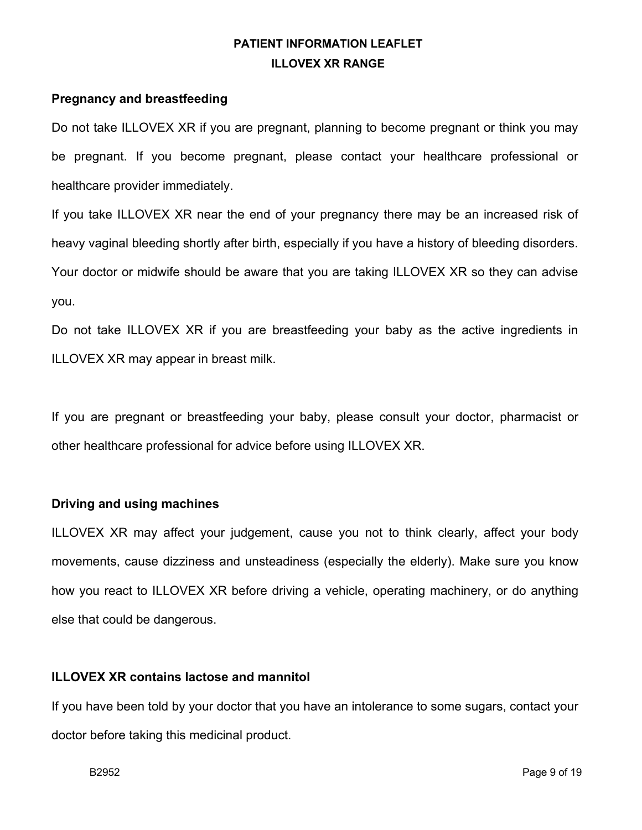### **Pregnancy and breastfeeding**

Do not take ILLOVEX XR if you are pregnant, planning to become pregnant or think you may be pregnant. If you become pregnant, please contact your healthcare professional or healthcare provider immediately.

If you take ILLOVEX XR near the end of your pregnancy there may be an increased risk of heavy vaginal bleeding shortly after birth, especially if you have a history of bleeding disorders. Your doctor or midwife should be aware that you are taking ILLOVEX XR so they can advise you.

Do not take ILLOVEX XR if you are breastfeeding your baby as the active ingredients in ILLOVEX XR may appear in breast milk.

If you are pregnant or breastfeeding your baby, please consult your doctor, pharmacist or other healthcare professional for advice before using ILLOVEX XR.

### **Driving and using machines**

ILLOVEX XR may affect your judgement, cause you not to think clearly, affect your body movements, cause dizziness and unsteadiness (especially the elderly). Make sure you know how you react to ILLOVEX XR before driving a vehicle, operating machinery, or do anything else that could be dangerous.

### **ILLOVEX XR contains lactose and mannitol**

If you have been told by your doctor that you have an intolerance to some sugars, contact your doctor before taking this medicinal product.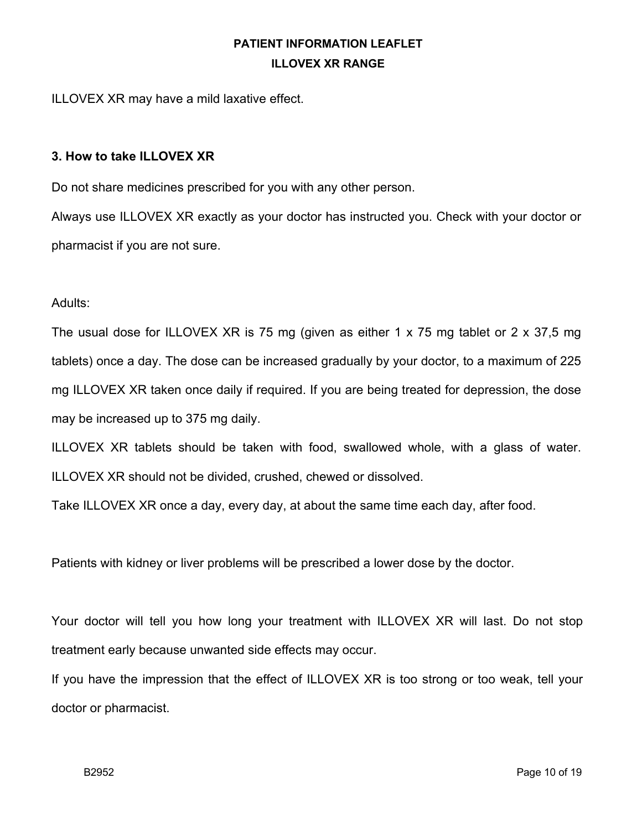ILLOVEX XR may have a mild laxative effect.

#### **3. How to take ILLOVEX XR**

Do not share medicines prescribed for you with any other person.

Always use ILLOVEX XR exactly as your doctor has instructed you. Check with your doctor or pharmacist if you are not sure.

#### Adults:

The usual dose for ILLOVEX XR is 75 mg (given as either 1 x 75 mg tablet or 2 x 37,5 mg tablets) once a day. The dose can be increased gradually by your doctor, to a maximum of 225 mg ILLOVEX XR taken once daily if required. If you are being treated for depression, the dose may be increased up to 375 mg daily.

ILLOVEX XR tablets should be taken with food, swallowed whole, with a glass of water. ILLOVEX XR should not be divided, crushed, chewed or dissolved.

Take ILLOVEX XR once a day, every day, at about the same time each day, after food.

Patients with kidney or liver problems will be prescribed a lower dose by the doctor.

Your doctor will tell you how long your treatment with ILLOVEX XR will last. Do not stop treatment early because unwanted side effects may occur.

If you have the impression that the effect of ILLOVEX XR is too strong or too weak, tell your doctor or pharmacist.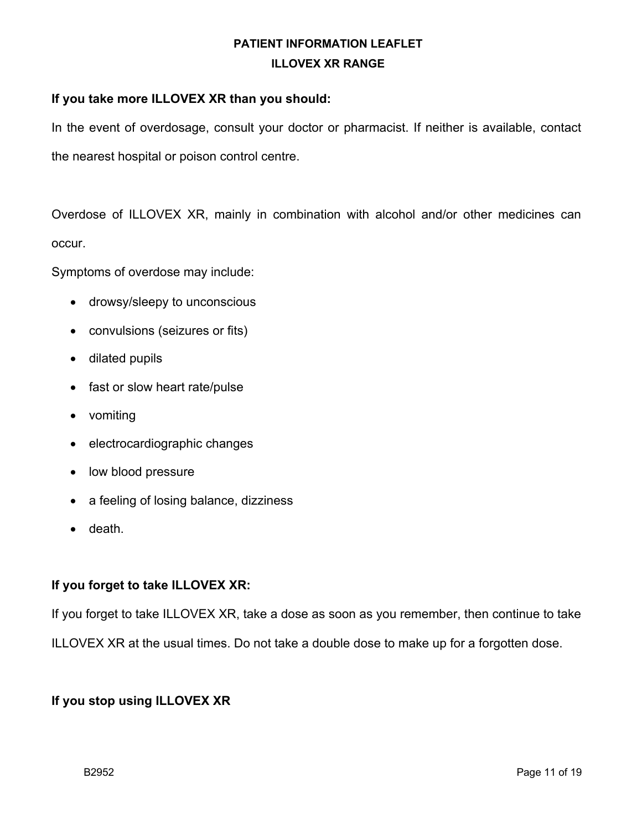#### **If you take more ILLOVEX XR than you should:**

In the event of overdosage, consult your doctor or pharmacist. If neither is available, contact the nearest hospital or poison control centre.

Overdose of ILLOVEX XR, mainly in combination with alcohol and/or other medicines can occur.

Symptoms of overdose may include:

- drowsy/sleepy to unconscious
- convulsions (seizures or fits)
- dilated pupils
- fast or slow heart rate/pulse
- vomiting
- electrocardiographic changes
- low blood pressure
- a feeling of losing balance, dizziness
- death.

### **If you forget to take ILLOVEX XR:**

If you forget to take ILLOVEX XR, take a dose as soon as you remember, then continue to take

ILLOVEX XR at the usual times. Do not take a double dose to make up for a forgotten dose.

### **If you stop using ILLOVEX XR**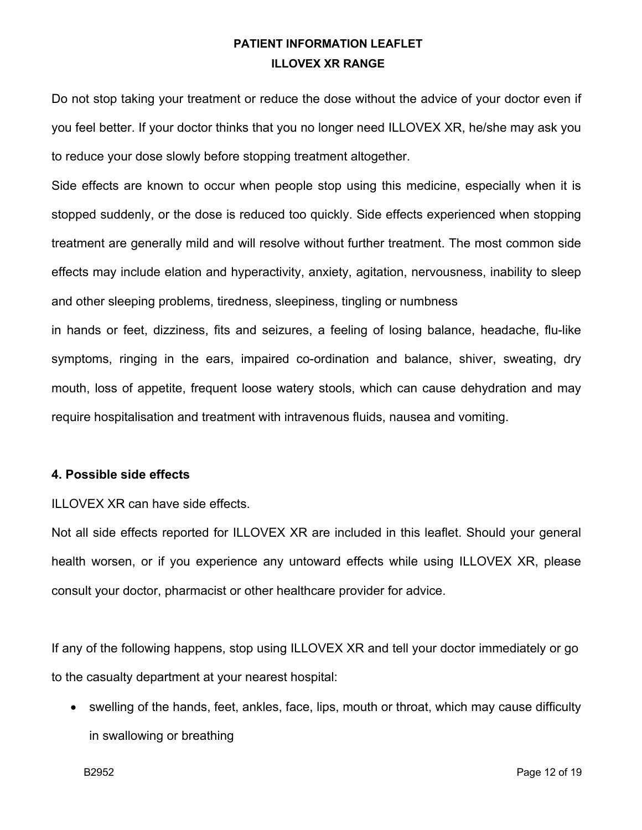Do not stop taking your treatment or reduce the dose without the advice of your doctor even if you feel better. If your doctor thinks that you no longer need ILLOVEX XR, he/she may ask you to reduce your dose slowly before stopping treatment altogether.

Side effects are known to occur when people stop using this medicine, especially when it is stopped suddenly, or the dose is reduced too quickly. Side effects experienced when stopping treatment are generally mild and will resolve without further treatment. The most common side effects may include elation and hyperactivity, anxiety, agitation, nervousness, inability to sleep and other sleeping problems, tiredness, sleepiness, tingling or numbness

in hands or feet, dizziness, fits and seizures, a feeling of losing balance, headache, flu-like symptoms, ringing in the ears, impaired co-ordination and balance, shiver, sweating, dry mouth, loss of appetite, frequent loose watery stools, which can cause dehydration and may require hospitalisation and treatment with intravenous fluids, nausea and vomiting.

#### **4. Possible side effects**

ILLOVEX XR can have side effects.

Not all side effects reported for ILLOVEX XR are included in this leaflet. Should your general health worsen, or if you experience any untoward effects while using ILLOVEX XR, please consult your doctor, pharmacist or other healthcare provider for advice.

If any of the following happens, stop using ILLOVEX XR and tell your doctor immediately or go to the casualty department at your nearest hospital:

• swelling of the hands, feet, ankles, face, lips, mouth or throat, which may cause difficulty in swallowing or breathing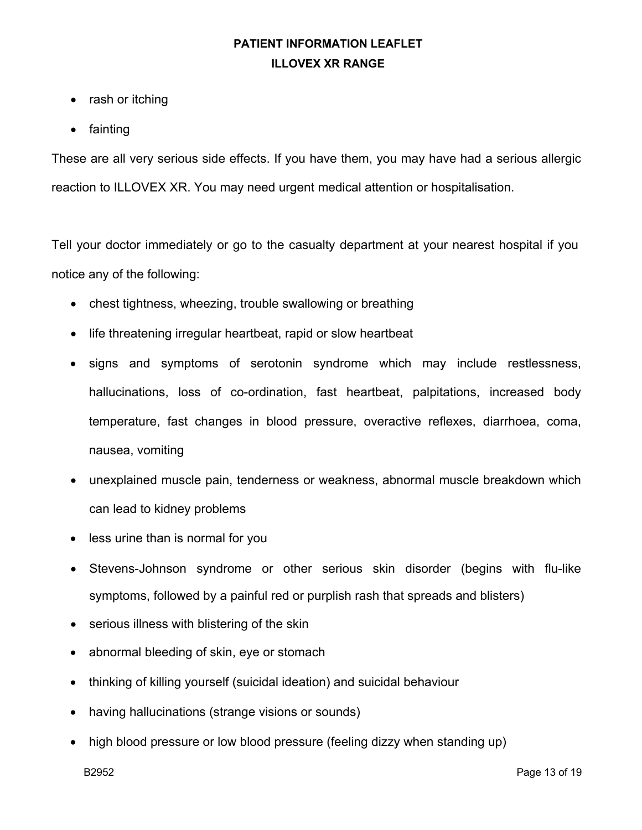- rash or itching
- fainting

These are all very serious side effects. If you have them, you may have had a serious allergic reaction to ILLOVEX XR. You may need urgent medical attention or hospitalisation.

Tell your doctor immediately or go to the casualty department at your nearest hospital if you notice any of the following:

- chest tightness, wheezing, trouble swallowing or breathing
- life threatening irregular heartbeat, rapid or slow heartbeat
- signs and symptoms of serotonin syndrome which may include restlessness, hallucinations, loss of co-ordination, fast heartbeat, palpitations, increased body temperature, fast changes in blood pressure, overactive reflexes, diarrhoea, coma, nausea, vomiting
- unexplained muscle pain, tenderness or weakness, abnormal muscle breakdown which can lead to kidney problems
- less urine than is normal for you
- Stevens-Johnson syndrome or other serious skin disorder (begins with flu-like symptoms, followed by a painful red or purplish rash that spreads and blisters)
- serious illness with blistering of the skin
- abnormal bleeding of skin, eye or stomach
- thinking of killing yourself (suicidal ideation) and suicidal behaviour
- having hallucinations (strange visions or sounds)
- high blood pressure or low blood pressure (feeling dizzy when standing up)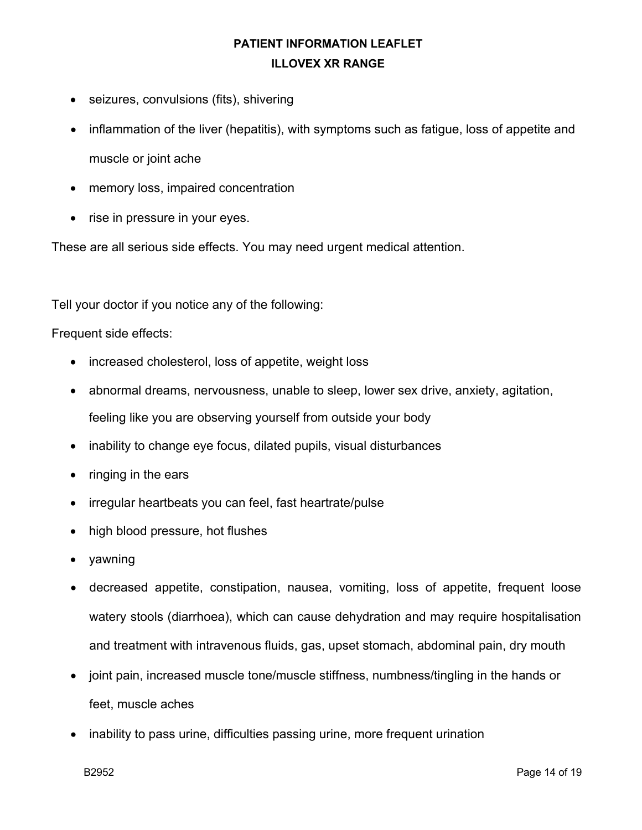- seizures, convulsions (fits), shivering
- inflammation of the liver (hepatitis), with symptoms such as fatigue, loss of appetite and muscle or joint ache
- memory loss, impaired concentration
- rise in pressure in your eyes.

These are all serious side effects. You may need urgent medical attention.

Tell your doctor if you notice any of the following:

Frequent side effects:

- increased cholesterol, loss of appetite, weight loss
- abnormal dreams, nervousness, unable to sleep, lower sex drive, anxiety, agitation, feeling like you are observing yourself from outside your body
- inability to change eye focus, dilated pupils, visual disturbances
- ringing in the ears
- irregular heartbeats you can feel, fast heartrate/pulse
- high blood pressure, hot flushes
- yawning
- decreased appetite, constipation, nausea, vomiting, loss of appetite, frequent loose watery stools (diarrhoea), which can cause dehydration and may require hospitalisation and treatment with intravenous fluids, gas, upset stomach, abdominal pain, dry mouth
- joint pain, increased muscle tone/muscle stiffness, numbness/tingling in the hands or feet, muscle aches
- inability to pass urine, difficulties passing urine, more frequent urination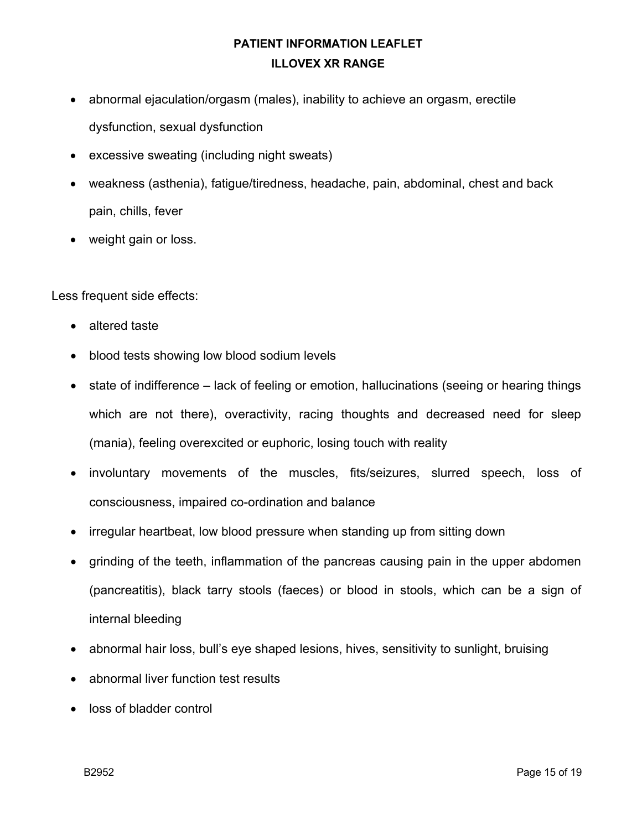- abnormal ejaculation/orgasm (males), inability to achieve an orgasm, erectile dysfunction, sexual dysfunction
- excessive sweating (including night sweats)
- weakness (asthenia), fatigue/tiredness, headache, pain, abdominal, chest and back pain, chills, fever
- weight gain or loss.

Less frequent side effects:

- altered taste
- blood tests showing low blood sodium levels
- state of indifference lack of feeling or emotion, hallucinations (seeing or hearing things which are not there), overactivity, racing thoughts and decreased need for sleep (mania), feeling overexcited or euphoric, losing touch with reality
- involuntary movements of the muscles, fits/seizures, slurred speech, loss of consciousness, impaired co-ordination and balance
- irregular heartbeat, low blood pressure when standing up from sitting down
- grinding of the teeth, inflammation of the pancreas causing pain in the upper abdomen (pancreatitis), black tarry stools (faeces) or blood in stools, which can be a sign of internal bleeding
- abnormal hair loss, bull's eye shaped lesions, hives, sensitivity to sunlight, bruising
- abnormal liver function test results
- loss of bladder control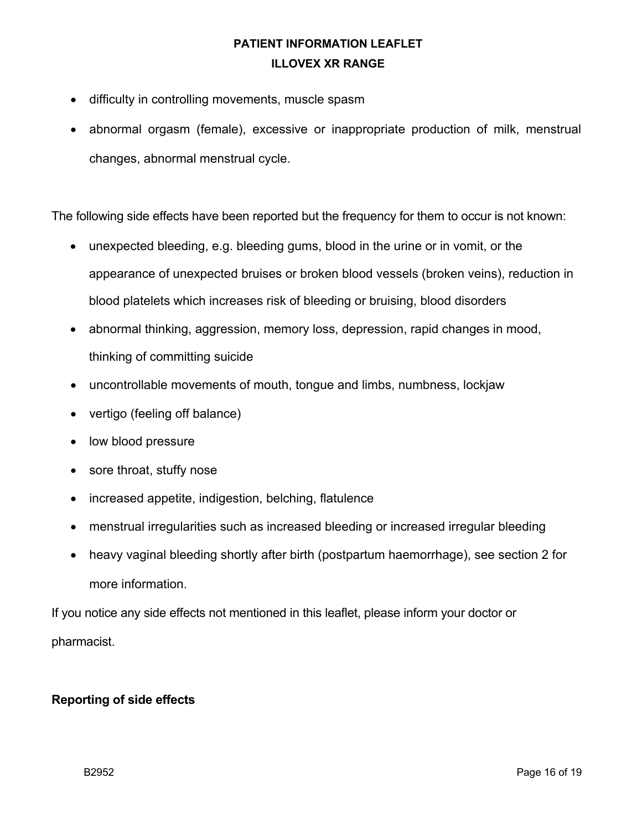- difficulty in controlling movements, muscle spasm
- abnormal orgasm (female), excessive or inappropriate production of milk, menstrual changes, abnormal menstrual cycle.

The following side effects have been reported but the frequency for them to occur is not known:

- unexpected bleeding, e.g. bleeding gums, blood in the urine or in vomit, or the appearance of unexpected bruises or broken blood vessels (broken veins), reduction in blood platelets which increases risk of bleeding or bruising, blood disorders
- abnormal thinking, aggression, memory loss, depression, rapid changes in mood, thinking of committing suicide
- uncontrollable movements of mouth, tongue and limbs, numbness, lockjaw
- vertigo (feeling off balance)
- low blood pressure
- sore throat, stuffy nose
- increased appetite, indigestion, belching, flatulence
- menstrual irregularities such as increased bleeding or increased irregular bleeding
- heavy vaginal bleeding shortly after birth (postpartum haemorrhage), see section 2 for more information.

If you notice any side effects not mentioned in this leaflet, please inform your doctor or pharmacist.

### **Reporting of side effects**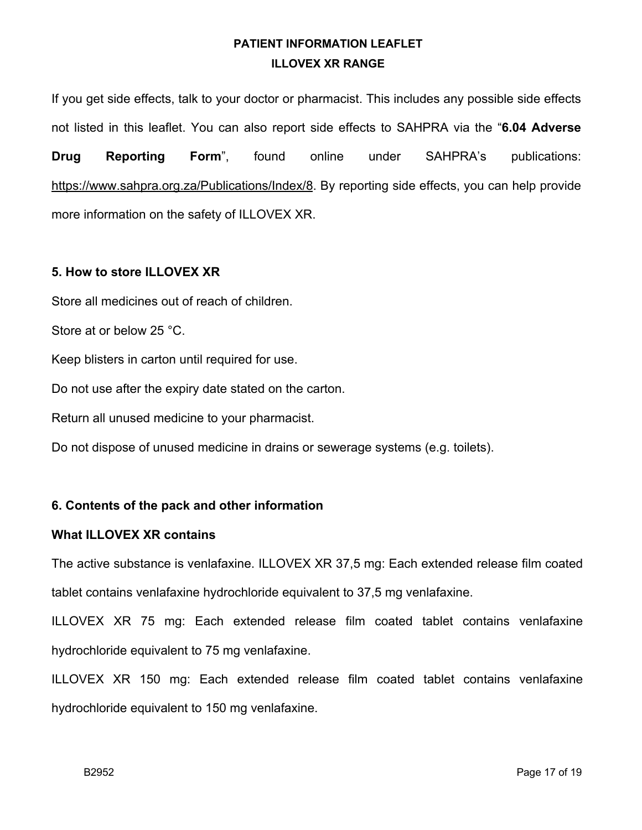If you get side effects, talk to your doctor or pharmacist. This includes any possible side effects not listed in this leaflet. You can also report side effects to SAHPRA via the "**6.04 Adverse Drug Reporting Form**", found online under SAHPRA's publications: https://www.sahpra.org.za/Publications/Index/8. By reporting side effects, you can help provide more information on the safety of ILLOVEX XR.

#### **5. How to store ILLOVEX XR**

Store all medicines out of reach of children.

Store at or below 25 °C.

Keep blisters in carton until required for use.

Do not use after the expiry date stated on the carton.

Return all unused medicine to your pharmacist.

Do not dispose of unused medicine in drains or sewerage systems (e.g. toilets).

### **6. Contents of the pack and other information**

#### **What ILLOVEX XR contains**

The active substance is venlafaxine. ILLOVEX XR 37,5 mg: Each extended release film coated tablet contains venlafaxine hydrochloride equivalent to 37,5 mg venlafaxine.

ILLOVEX XR 75 mg: Each extended release film coated tablet contains venlafaxine hydrochloride equivalent to 75 mg venlafaxine.

ILLOVEX XR 150 mg: Each extended release film coated tablet contains venlafaxine hydrochloride equivalent to 150 mg venlafaxine.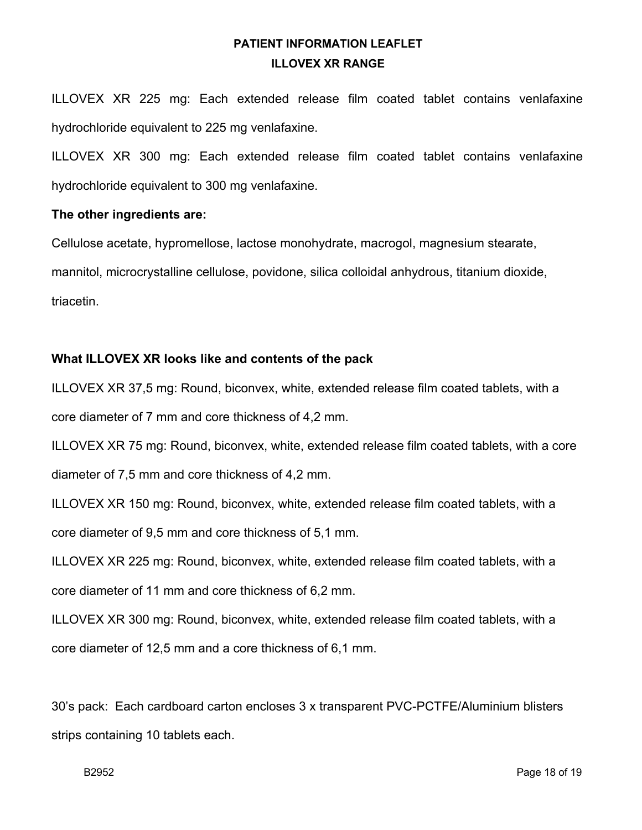ILLOVEX XR 225 mg: Each extended release film coated tablet contains venlafaxine hydrochloride equivalent to 225 mg venlafaxine.

ILLOVEX XR 300 mg: Each extended release film coated tablet contains venlafaxine hydrochloride equivalent to 300 mg venlafaxine.

#### **The other ingredients are:**

Cellulose acetate, hypromellose, lactose monohydrate, macrogol, magnesium stearate, mannitol, microcrystalline cellulose, povidone, silica colloidal anhydrous, titanium dioxide, triacetin.

### **What ILLOVEX XR looks like and contents of the pack**

ILLOVEX XR 37,5 mg: Round, biconvex, white, extended release film coated tablets, with a core diameter of 7 mm and core thickness of 4,2 mm.

ILLOVEX XR 75 mg: Round, biconvex, white, extended release film coated tablets, with a core diameter of 7,5 mm and core thickness of 4,2 mm.

ILLOVEX XR 150 mg: Round, biconvex, white, extended release film coated tablets, with a core diameter of 9,5 mm and core thickness of 5,1 mm.

ILLOVEX XR 225 mg: Round, biconvex, white, extended release film coated tablets, with a core diameter of 11 mm and core thickness of 6,2 mm.

ILLOVEX XR 300 mg: Round, biconvex, white, extended release film coated tablets, with a core diameter of 12,5 mm and a core thickness of 6,1 mm.

30's pack: Each cardboard carton encloses 3 x transparent PVC-PCTFE/Aluminium blisters strips containing 10 tablets each.